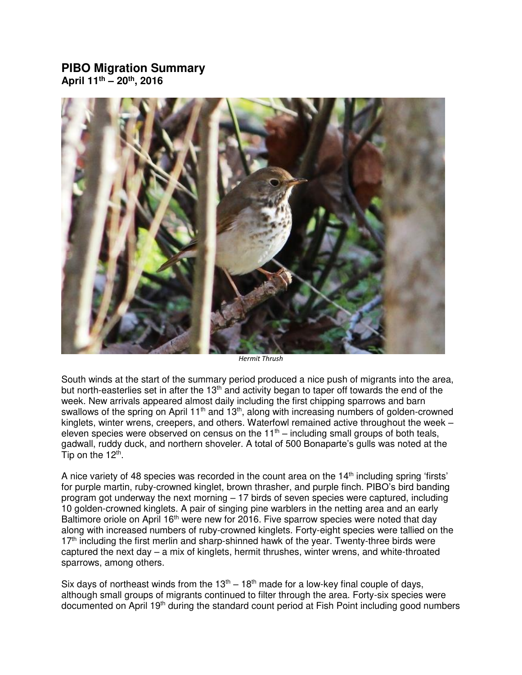## **PIBO Migration Summary April 11th – 20th, 2016**



*Hermit Thrush* 

South winds at the start of the summary period produced a nice push of migrants into the area, but north-easterlies set in after the  $13<sup>th</sup>$  and activity began to taper off towards the end of the week. New arrivals appeared almost daily including the first chipping sparrows and barn swallows of the spring on April 11<sup>th</sup> and 13<sup>th</sup>, along with increasing numbers of golden-crowned kinglets, winter wrens, creepers, and others. Waterfowl remained active throughout the week – eleven species were observed on census on the  $11<sup>th</sup>$  – including small groups of both teals, gadwall, ruddy duck, and northern shoveler. A total of 500 Bonaparte's gulls was noted at the Tip on the 12<sup>th</sup>.

A nice variety of 48 species was recorded in the count area on the  $14<sup>th</sup>$  including spring 'firsts' for purple martin, ruby-crowned kinglet, brown thrasher, and purple finch. PIBO's bird banding program got underway the next morning – 17 birds of seven species were captured, including 10 golden-crowned kinglets. A pair of singing pine warblers in the netting area and an early Baltimore oriole on April 16<sup>th</sup> were new for 2016. Five sparrow species were noted that day along with increased numbers of ruby-crowned kinglets. Forty-eight species were tallied on the  $17<sup>th</sup>$  including the first merlin and sharp-shinned hawk of the year. Twenty-three birds were captured the next day  $-$  a mix of kinglets, hermit thrushes, winter wrens, and white-throated sparrows, among others.

Six days of northeast winds from the  $13<sup>th</sup> - 18<sup>th</sup>$  made for a low-key final couple of days, although small groups of migrants continued to filter through the area. Forty-six species were documented on April 19<sup>th</sup> during the standard count period at Fish Point including good numbers